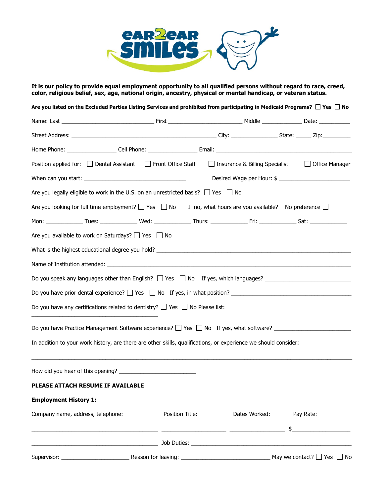

**It is our policy to provide equal employment opportunity to all qualified persons without regard to race, creed, color, religious belief, sex, age, national origin, ancestry, physical or mental handicap, or veteran status.**

| Are you listed on the Excluded Parties Listing Services and prohibited from participating in Medicaid Programs? $\Box$ Yes $\Box$ No |                 |                                  |                                      |
|--------------------------------------------------------------------------------------------------------------------------------------|-----------------|----------------------------------|--------------------------------------|
|                                                                                                                                      |                 |                                  |                                      |
|                                                                                                                                      |                 |                                  |                                      |
|                                                                                                                                      |                 |                                  |                                      |
| Position applied for: □ Dental Assistant □ Front Office Staff                                                                        |                 | □ Insurance & Billing Specialist | <b>Office Manager</b>                |
|                                                                                                                                      |                 |                                  | Desired Wage per Hour: \$            |
| Are you legally eligible to work in the U.S. on an unrestricted basis? $\Box$ Yes $\Box$ No                                          |                 |                                  |                                      |
| Are you looking for full time employment? $\Box$ Yes $\Box$ No If no, what hours are you available? No preference $\Box$             |                 |                                  |                                      |
|                                                                                                                                      |                 |                                  |                                      |
| Are you available to work on Saturdays? $\Box$ Yes $\Box$ No                                                                         |                 |                                  |                                      |
|                                                                                                                                      |                 |                                  |                                      |
|                                                                                                                                      |                 |                                  |                                      |
| Do you speak any languages other than English? $\Box$ Yes $\Box$ No If yes, which languages?                                         |                 |                                  |                                      |
|                                                                                                                                      |                 |                                  |                                      |
| Do you have any certifications related to dentistry? $\Box$ Yes $\Box$ No Please list:                                               |                 |                                  |                                      |
| Do you have Practice Management Software experience? □ Yes □ No If yes, what software? _______________________                       |                 |                                  |                                      |
| In addition to your work history, are there are other skills, qualifications, or experience we should consider:                      |                 |                                  |                                      |
|                                                                                                                                      |                 |                                  |                                      |
|                                                                                                                                      |                 |                                  |                                      |
| PLEASE ATTACH RESUME IF AVAILABLE                                                                                                    |                 |                                  |                                      |
| <b>Employment History 1:</b>                                                                                                         |                 |                                  |                                      |
| Company name, address, telephone:                                                                                                    | Position Title: | Dates Worked:                    | Pay Rate:                            |
|                                                                                                                                      |                 |                                  | \$                                   |
| <u> 1990 - Johann John Stein, marwolaethau (b. 1980)</u>                                                                             |                 |                                  |                                      |
| Supervisor: New York Supervisor:                                                                                                     |                 |                                  | May we contact? $\Box$ Yes $\Box$ No |